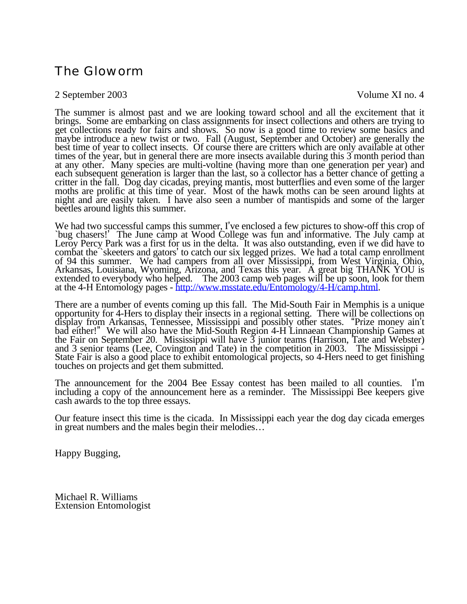# The Gloworm

# 2 September 2003 Volume XI no. 4

The summer is almost past and we are looking toward school and all the excitement that it brings. Some are embarking on class assignments for insect collections and others are trying to get collections ready for fairs and

We had two successful camps this summer, I've enclosed a few pictures to show-off this crop of<br>
`bug chasers!' The June camp at Wood College was fun and informative. The July camp at<br>
Leroy Percy Park was a first for us in

There are a number of events coming up this fall. The Mid-South Fair in Memphis is a unique opportunity for 4-Hers to display their insects in a regional setting. There will be collections on display from Arkansas, Tennessee, Mississippi and possibly other states. "Prize money ain't the Fair on September 20. Mississippi will have  $\overline{3}$  junior teams (Harrison, Tate and Webster) and  $\overline{3}$  senior teams (Lee, Covington and Tate) in the competition in 2003. The Mississippi -State Fair is also a good place to exhibit entomological projects, so 4-Hers need to get finishing touches on projects and get them submitted.

The announcement for the 2004 Bee Essay contest has been mailed to all counties. I'm including a copy of the announcement here as a reminder. The Mississippi Bee keepers give cash awards to the top three essays.

Our feature insect this time is the cicada. In Mississippi each year the dog day cicada emerges in great numbers and the males begin their melodies…

Happy Bugging,

Michael R. Williams Extension Entomologist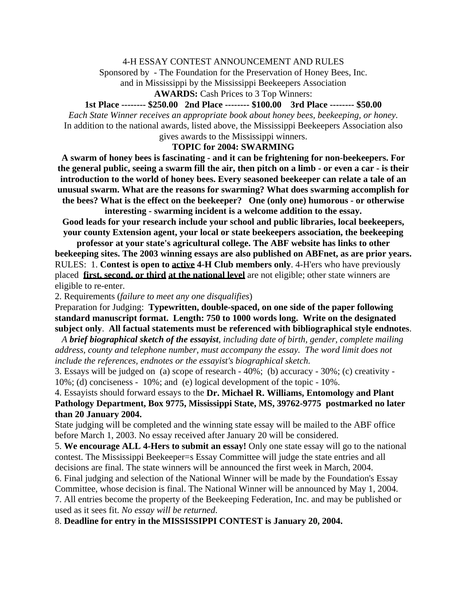## 4-H ESSAY CONTEST ANNOUNCEMENT AND RULES

Sponsored by - The Foundation for the Preservation of Honey Bees, Inc.

and in Mississippi by the Mississippi Beekeepers Association

#### **AWARDS:** Cash Prices to 3 Top Winners:

# **1st Place -------- \$250.00 2nd Place -------- \$100.00 3rd Place -------- \$50.00**

*Each State Winner receives an appropriate book about honey bees, beekeeping, or honey.*  In addition to the national awards, listed above, the Mississippi Beekeepers Association also gives awards to the Mississippi winners.

## **TOPIC for 2004: SWARMING**

**A swarm of honey bees is fascinating - and it can be frightening for non-beekeepers. For the general public, seeing a swarm fill the air, then pitch on a limb - or even a car - is their introduction to the world of honey bees. Every seasoned beekeeper can relate a tale of an unusual swarm. What are the reasons for swarming? What does swarming accomplish for the bees? What is the effect on the beekeeper? One (only one) humorous - or otherwise** 

**interesting - swarming incident is a welcome addition to the essay. Good leads for your research include your school and public libraries, local beekeepers, your county Extension agent, your local or state beekeepers association, the beekeeping** 

**professor at your state's agricultural college. The ABF website has links to other beekeeping sites. The 2003 winning essays are also published on ABFnet, as are prior years.**  RULES: 1. **Contest is open to active 4-H Club members only**. 4-H'ers who have previously placed **first, second, or third at the national level** are not eligible; other state winners are eligible to re-enter.

2. Requirements (*failure to meet any one disqualifies*)

Preparation for Judging: **Typewritten, double-spaced, on one side of the paper following standard manuscript format. Length: 750 to 1000 words long. Write on the designated subject only**. **All factual statements must be referenced with bibliographical style endnotes**.

 *A brief biographical sketch of the essayist, including date of birth, gender, complete mailing address, county and telephone number, must accompany the essay. The word limit does not include the references, endnotes or the essayist's biographical sketch.* 

3. Essays will be judged on (a) scope of research - 40%; (b) accuracy - 30%; (c) creativity - 10%; (d) conciseness - 10%; and (e) logical development of the topic - 10%.

4. Essayists should forward essays to the **Dr. Michael R. Williams, Entomology and Plant Pathology Department, Box 9775, Mississippi State, MS, 39762-9775 postmarked no later than 20 January 2004.**

State judging will be completed and the winning state essay will be mailed to the ABF office before March 1, 2003. No essay received after January 20 will be considered.

5. **We encourage ALL 4-Hers to submit an essay!** Only one state essay will go to the national contest. The Mississippi Beekeeper=s Essay Committee will judge the state entries and all decisions are final. The state winners will be announced the first week in March, 2004.

6. Final judging and selection of the National Winner will be made by the Foundation's Essay Committee, whose decision is final. The National Winner will be announced by May 1, 2004. 7. All entries become the property of the Beekeeping Federation, Inc. and may be published or

used as it sees fit. *No essay will be returned*.

8. **Deadline for entry in the MISSISSIPPI CONTEST is January 20, 2004.**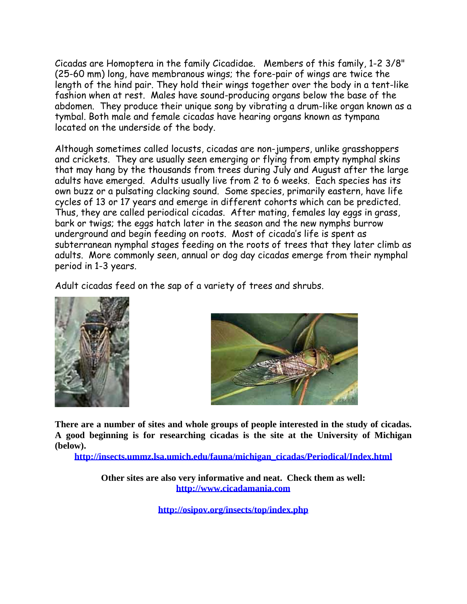Cicadas are Homoptera in the family Cicadidae. Members of this family, 1-2 3/8" (25-60 mm) long, have membranous wings; the fore-pair of wings are twice the length of the hind pair. They hold their wings together over the body in a tent-like fashion when at rest. Males have sound-producing organs below the base of the abdomen. They produce their unique song by vibrating a drum-like organ known as a tymbal. Both male and female cicadas have hearing organs known as tympana located on the underside of the body.

Although sometimes called locusts, cicadas are non-jumpers, unlike grasshoppers and crickets. They are usually seen emerging or flying from empty nymphal skins that may hang by the thousands from trees during July and August after the large adults have emerged. Adults usually live from 2 to 6 weeks. Each species has its own buzz or a pulsating clacking sound. Some species, primarily eastern, have life cycles of 13 or 17 years and emerge in different cohorts which can be predicted. Thus, they are called periodical cicadas. After mating, females lay eggs in grass, bark or twigs; the eggs hatch later in the season and the new nymphs burrow underground and begin feeding on roots. Most of cicada's life is spent as subterranean nymphal stages feeding on the roots of trees that they later climb as adults. More commonly seen, annual or dog day cicadas emerge from their nymphal period in 1-3 years.

Adult cicadas feed on the sap of a variety of trees and shrubs.





**There are a number of sites and whole groups of people interested in the study of cicadas. A good beginning is for researching cicadas is the site at the University of Michigan (below).** 

**http://insects.ummz.lsa.umich.edu/fauna/michigan\_cicadas/Periodical/Index.html**

**Other sites are also very informative and neat. Check them as well: http://www.cicadamania.com**

**http://osipov.org/insects/top/index.php**